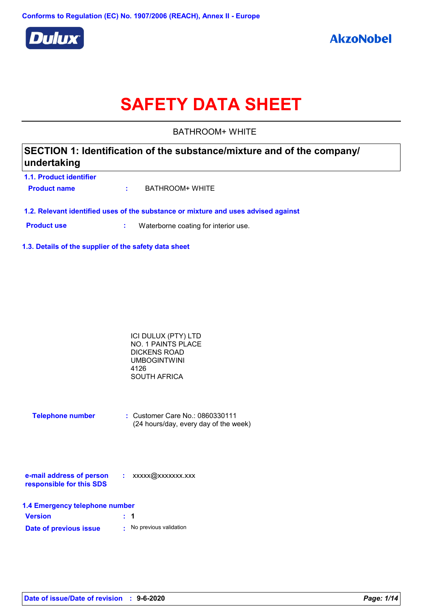

# **SAFETY DATA SHEET**

BATHROOM+ WHITE

### **SECTION 1: Identification of the substance/mixture and of the company/ undertaking**

**1.1. Product identifier Product name :** BATHROOM+ WHITE

**1.2. Relevant identified uses of the substance or mixture and uses advised against**

**Product use <b>:** Waterborne coating for interior use.

**1.3. Details of the supplier of the safety data sheet**

| ICI DULUX (PTY) LTD |  |
|---------------------|--|
| NO. 1 PAINTS PLACE  |  |
| DICKENS ROAD        |  |
| UMBOGINTWINI        |  |
| 4126                |  |
| SOUTH AFRICA        |  |

| <b>Telephone number</b> | $\therefore$ Customer Care No.: 0860330111 |
|-------------------------|--------------------------------------------|
|                         | (24 hours/day, every day of the week)      |

| e-mail address of person | xxxxx@xxxxxxx.xxx |
|--------------------------|-------------------|
| responsible for this SDS |                   |

|  |  | 1.4 Emergency telephone number |  |
|--|--|--------------------------------|--|
|--|--|--------------------------------|--|

| <b>Version</b>         | $\therefore$ 1 |                        |
|------------------------|----------------|------------------------|
| Date of previous issue |                | No previous validation |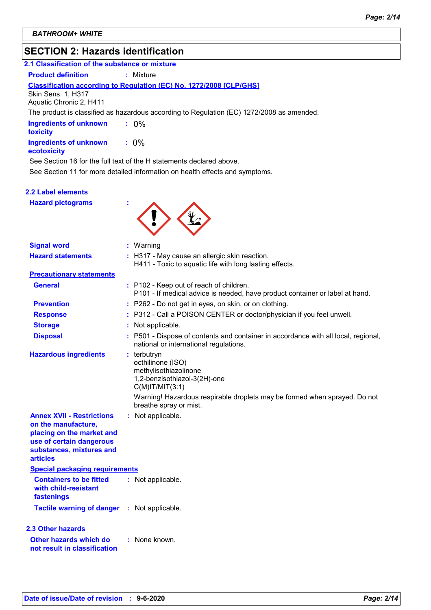### **SECTION 2: Hazards identification**

| 2.1 Classification of the substance or mixture |           |
|------------------------------------------------|-----------|
| <b>Product definition</b>                      | : Mixture |

### **Classification according to Regulation (EC) No. 1272/2008 [CLP/GHS]**

Skin Sens. 1, H317

Aquatic Chronic 2, H411

The product is classified as hazardous according to Regulation (EC) 1272/2008 as amended.

**Ingredients of unknown toxicity :** 0%

**Ingredients of unknown ecotoxicity :** 0%

See Section 11 for more detailed information on health effects and symptoms. See Section 16 for the full text of the H statements declared above.

#### **2.2 Label elements**

**Hazard pictograms :**



| <b>Signal word</b>                                                                                                                                              | $:$ Warning                                                                                                                                                                                                                 |
|-----------------------------------------------------------------------------------------------------------------------------------------------------------------|-----------------------------------------------------------------------------------------------------------------------------------------------------------------------------------------------------------------------------|
| <b>Hazard statements</b>                                                                                                                                        | : H317 - May cause an allergic skin reaction.<br>H411 - Toxic to aquatic life with long lasting effects.                                                                                                                    |
| <b>Precautionary statements</b>                                                                                                                                 |                                                                                                                                                                                                                             |
| <b>General</b>                                                                                                                                                  | : P102 - Keep out of reach of children.<br>P101 - If medical advice is needed, have product container or label at hand.                                                                                                     |
| <b>Prevention</b>                                                                                                                                               | : P262 - Do not get in eyes, on skin, or on clothing.                                                                                                                                                                       |
| <b>Response</b>                                                                                                                                                 | : P312 - Call a POISON CENTER or doctor/physician if you feel unwell.                                                                                                                                                       |
| <b>Storage</b>                                                                                                                                                  | Not applicable.                                                                                                                                                                                                             |
| <b>Disposal</b>                                                                                                                                                 | : P501 - Dispose of contents and container in accordance with all local, regional,<br>national or international regulations.                                                                                                |
| <b>Hazardous ingredients</b>                                                                                                                                    | $:$ terbutryn<br>octhilinone (ISO)<br>methylisothiazolinone<br>1,2-benzisothiazol-3(2H)-one<br>$C(M)$ IT/MIT $(3:1)$<br>Warning! Hazardous respirable droplets may be formed when sprayed. Do not<br>breathe spray or mist. |
| <b>Annex XVII - Restrictions</b><br>on the manufacture,<br>placing on the market and<br>use of certain dangerous<br>substances, mixtures and<br><b>articles</b> | : Not applicable.                                                                                                                                                                                                           |
| <b>Special packaging requirements</b>                                                                                                                           |                                                                                                                                                                                                                             |
| <b>Containers to be fitted</b><br>with child-resistant<br>fastenings                                                                                            | : Not applicable.                                                                                                                                                                                                           |
| Tactile warning of danger : Not applicable.                                                                                                                     |                                                                                                                                                                                                                             |
| 2.3 Other hazards                                                                                                                                               |                                                                                                                                                                                                                             |
| Other hazards which do<br>not result in classification                                                                                                          | : None known.                                                                                                                                                                                                               |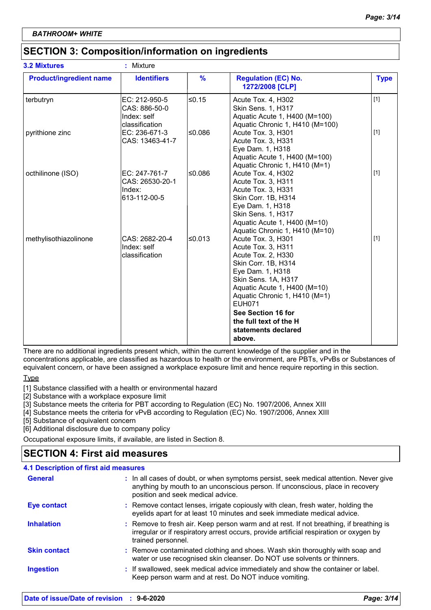### **SECTION 3: Composition/information on ingredients**

| <b>3.2 Mixtures</b>            | ٠<br>Mixture                                                    |               |                                                                                                                                                                                                                                                                                                     |             |
|--------------------------------|-----------------------------------------------------------------|---------------|-----------------------------------------------------------------------------------------------------------------------------------------------------------------------------------------------------------------------------------------------------------------------------------------------------|-------------|
| <b>Product/ingredient name</b> | <b>Identifiers</b>                                              | $\frac{9}{6}$ | <b>Regulation (EC) No.</b><br>1272/2008 [CLP]                                                                                                                                                                                                                                                       | <b>Type</b> |
| terbutryn                      | EC: 212-950-5<br>CAS: 886-50-0<br>Index: self<br>classification | $≤0.15$       | Acute Tox. 4, H302<br>Skin Sens. 1, H317<br>Aquatic Acute 1, H400 (M=100)<br>Aquatic Chronic 1, H410 (M=100)                                                                                                                                                                                        | $[1]$       |
| pyrithione zinc                | EC: 236-671-3<br>CAS: 13463-41-7                                | 80.08∣        | Acute Tox. 3, H301<br>Acute Tox. 3, H331<br>Eye Dam. 1, H318<br>Aquatic Acute 1, H400 (M=100)<br>Aquatic Chronic 1, H410 (M=1)                                                                                                                                                                      | $[1]$       |
| octhilinone (ISO)              | EC: 247-761-7<br>CAS: 26530-20-1<br>Index:<br>613-112-00-5      | 80.0≥∣        | Acute Tox. 4, H302<br>Acute Tox. 3, H311<br>Acute Tox. 3, H331<br>Skin Corr. 1B, H314<br>Eye Dam. 1, H318<br>Skin Sens. 1, H317<br>Aquatic Acute 1, H400 (M=10)<br>Aquatic Chronic 1, H410 (M=10)                                                                                                   | $[1]$       |
| methylisothiazolinone          | CAS: 2682-20-4<br>Index: self<br>classification                 | l≤0.013       | Acute Tox. 3, H301<br>Acute Tox. 3, H311<br>Acute Tox. 2, H330<br>Skin Corr. 1B, H314<br>Eye Dam. 1, H318<br>Skin Sens. 1A, H317<br>Aquatic Acute 1, H400 (M=10)<br>Aquatic Chronic 1, H410 (M=1)<br><b>EUH071</b><br>See Section 16 for<br>the full text of the H<br>statements declared<br>above. | $[1]$       |

There are no additional ingredients present which, within the current knowledge of the supplier and in the concentrations applicable, are classified as hazardous to health or the environment, are PBTs, vPvBs or Substances of equivalent concern, or have been assigned a workplace exposure limit and hence require reporting in this section.

Type

[1] Substance classified with a health or environmental hazard

[2] Substance with a workplace exposure limit

[3] Substance meets the criteria for PBT according to Regulation (EC) No. 1907/2006, Annex XIII

[4] Substance meets the criteria for vPvB according to Regulation (EC) No. 1907/2006, Annex XIII

[5] Substance of equivalent concern

[6] Additional disclosure due to company policy

Occupational exposure limits, if available, are listed in Section 8.

### **SECTION 4: First aid measures**

| 4.1 Description of first aid measures |                                                                                                                                                                                                             |
|---------------------------------------|-------------------------------------------------------------------------------------------------------------------------------------------------------------------------------------------------------------|
| <b>General</b>                        | : In all cases of doubt, or when symptoms persist, seek medical attention. Never give<br>anything by mouth to an unconscious person. If unconscious, place in recovery<br>position and seek medical advice. |
| <b>Eye contact</b>                    | : Remove contact lenses, irrigate copiously with clean, fresh water, holding the<br>eyelids apart for at least 10 minutes and seek immediate medical advice.                                                |
| <b>Inhalation</b>                     | : Remove to fresh air. Keep person warm and at rest. If not breathing, if breathing is<br>irregular or if respiratory arrest occurs, provide artificial respiration or oxygen by<br>trained personnel.      |
| <b>Skin contact</b>                   | : Remove contaminated clothing and shoes. Wash skin thoroughly with soap and<br>water or use recognised skin cleanser. Do NOT use solvents or thinners.                                                     |
| <b>Ingestion</b>                      | : If swallowed, seek medical advice immediately and show the container or label.<br>Keep person warm and at rest. Do NOT induce vomiting.                                                                   |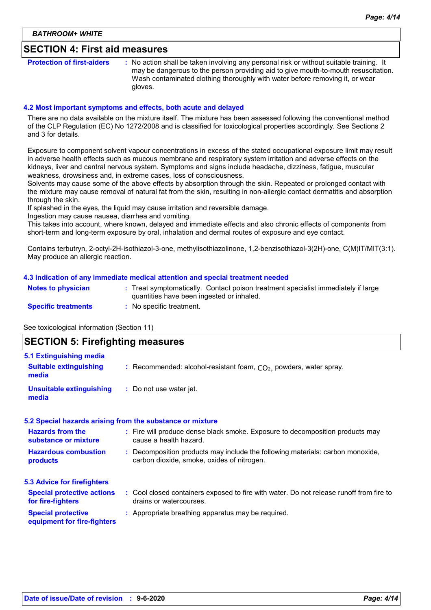### **SECTION 4: First aid measures**

**Protection of first-aiders** : No action shall be taken involving any personal risk or without suitable training. It may be dangerous to the person providing aid to give mouth-to-mouth resuscitation. Wash contaminated clothing thoroughly with water before removing it, or wear gloves.

#### **4.2 Most important symptoms and effects, both acute and delayed**

There are no data available on the mixture itself. The mixture has been assessed following the conventional method of the CLP Regulation (EC) No 1272/2008 and is classified for toxicological properties accordingly. See Sections 2 and 3 for details.

Exposure to component solvent vapour concentrations in excess of the stated occupational exposure limit may result in adverse health effects such as mucous membrane and respiratory system irritation and adverse effects on the kidneys, liver and central nervous system. Symptoms and signs include headache, dizziness, fatigue, muscular weakness, drowsiness and, in extreme cases, loss of consciousness.

Solvents may cause some of the above effects by absorption through the skin. Repeated or prolonged contact with the mixture may cause removal of natural fat from the skin, resulting in non-allergic contact dermatitis and absorption through the skin.

If splashed in the eyes, the liquid may cause irritation and reversible damage.

Ingestion may cause nausea, diarrhea and vomiting.

This takes into account, where known, delayed and immediate effects and also chronic effects of components from short-term and long-term exposure by oral, inhalation and dermal routes of exposure and eye contact.

Contains terbutryn, 2-octyl-2H-isothiazol-3-one, methylisothiazolinone, 1,2-benzisothiazol-3(2H)-one, C(M)IT/MIT(3:1). May produce an allergic reaction.

#### **4.3 Indication of any immediate medical attention and special treatment needed**

| <b>Notes to physician</b>  | Treat symptomatically. Contact poison treatment specialist immediately if large |
|----------------------------|---------------------------------------------------------------------------------|
|                            | quantities have been ingested or inhaled.                                       |
| <b>Specific treatments</b> | No specific treatment.                                                          |

See toxicological information (Section 11)

### **SECTION 5: Firefighting measures**

| 5.1 Extinguishing media                                  |                                                                                                                              |
|----------------------------------------------------------|------------------------------------------------------------------------------------------------------------------------------|
| <b>Suitable extinguishing</b><br>media                   | : Recommended: alcohol-resistant foam, $CO2$ , powders, water spray.                                                         |
| <b>Unsuitable extinguishing</b><br>media                 | : Do not use water jet.                                                                                                      |
|                                                          | 5.2 Special hazards arising from the substance or mixture                                                                    |
| <b>Hazards from the</b><br>substance or mixture          | : Fire will produce dense black smoke. Exposure to decomposition products may<br>cause a health hazard.                      |
| <b>Hazardous combustion</b><br>products                  | : Decomposition products may include the following materials: carbon monoxide,<br>carbon dioxide, smoke, oxides of nitrogen. |
| <b>5.3 Advice for firefighters</b>                       |                                                                                                                              |
| <b>Special protective actions</b><br>for fire-fighters   | : Cool closed containers exposed to fire with water. Do not release runoff from fire to<br>drains or watercourses.           |
| <b>Special protective</b><br>equipment for fire-fighters | : Appropriate breathing apparatus may be required.                                                                           |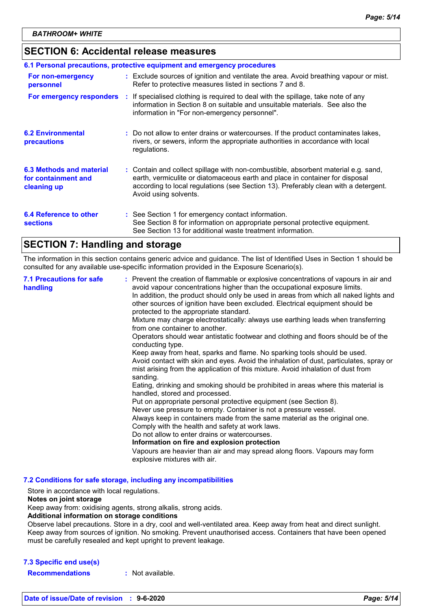### **SECTION 6: Accidental release measures**

| 6.1 Personal precautions, protective equipment and emergency procedures |  |                                                                                                                                                                                                                                                                                    |  |  |
|-------------------------------------------------------------------------|--|------------------------------------------------------------------------------------------------------------------------------------------------------------------------------------------------------------------------------------------------------------------------------------|--|--|
| For non-emergency<br>personnel                                          |  | : Exclude sources of ignition and ventilate the area. Avoid breathing vapour or mist.<br>Refer to protective measures listed in sections 7 and 8.                                                                                                                                  |  |  |
| For emergency responders                                                |  | : If specialised clothing is required to deal with the spillage, take note of any<br>information in Section 8 on suitable and unsuitable materials. See also the<br>information in "For non-emergency personnel".                                                                  |  |  |
| <b>6.2 Environmental</b><br>precautions                                 |  | : Do not allow to enter drains or watercourses. If the product contaminates lakes,<br>rivers, or sewers, inform the appropriate authorities in accordance with local<br>regulations.                                                                                               |  |  |
| 6.3 Methods and material<br>for containment and<br>cleaning up          |  | : Contain and collect spillage with non-combustible, absorbent material e.g. sand,<br>earth, vermiculite or diatomaceous earth and place in container for disposal<br>according to local regulations (see Section 13). Preferably clean with a detergent.<br>Avoid using solvents. |  |  |
| 6.4 Reference to other<br><b>sections</b>                               |  | : See Section 1 for emergency contact information.<br>See Section 8 for information on appropriate personal protective equipment.<br>See Section 13 for additional waste treatment information.                                                                                    |  |  |

### **SECTION 7: Handling and storage**

The information in this section contains generic advice and guidance. The list of Identified Uses in Section 1 should be consulted for any available use-specific information provided in the Exposure Scenario(s).

| <b>7.1 Precautions for safe</b><br>handling | : Prevent the creation of flammable or explosive concentrations of vapours in air and<br>avoid vapour concentrations higher than the occupational exposure limits.<br>In addition, the product should only be used in areas from which all naked lights and<br>other sources of ignition have been excluded. Electrical equipment should be<br>protected to the appropriate standard.<br>Mixture may charge electrostatically: always use earthing leads when transferring<br>from one container to another.<br>Operators should wear antistatic footwear and clothing and floors should be of the<br>conducting type.<br>Keep away from heat, sparks and flame. No sparking tools should be used.<br>Avoid contact with skin and eyes. Avoid the inhalation of dust, particulates, spray or<br>mist arising from the application of this mixture. Avoid inhalation of dust from<br>sanding.<br>Eating, drinking and smoking should be prohibited in areas where this material is<br>handled, stored and processed.<br>Put on appropriate personal protective equipment (see Section 8).<br>Never use pressure to empty. Container is not a pressure vessel.<br>Always keep in containers made from the same material as the original one.<br>Comply with the health and safety at work laws.<br>Do not allow to enter drains or watercourses.<br>Information on fire and explosion protection<br>Vapours are heavier than air and may spread along floors. Vapours may form<br>explosive mixtures with air. |
|---------------------------------------------|--------------------------------------------------------------------------------------------------------------------------------------------------------------------------------------------------------------------------------------------------------------------------------------------------------------------------------------------------------------------------------------------------------------------------------------------------------------------------------------------------------------------------------------------------------------------------------------------------------------------------------------------------------------------------------------------------------------------------------------------------------------------------------------------------------------------------------------------------------------------------------------------------------------------------------------------------------------------------------------------------------------------------------------------------------------------------------------------------------------------------------------------------------------------------------------------------------------------------------------------------------------------------------------------------------------------------------------------------------------------------------------------------------------------------------------------------------------------------------------------------------------|
|---------------------------------------------|--------------------------------------------------------------------------------------------------------------------------------------------------------------------------------------------------------------------------------------------------------------------------------------------------------------------------------------------------------------------------------------------------------------------------------------------------------------------------------------------------------------------------------------------------------------------------------------------------------------------------------------------------------------------------------------------------------------------------------------------------------------------------------------------------------------------------------------------------------------------------------------------------------------------------------------------------------------------------------------------------------------------------------------------------------------------------------------------------------------------------------------------------------------------------------------------------------------------------------------------------------------------------------------------------------------------------------------------------------------------------------------------------------------------------------------------------------------------------------------------------------------|

**7.2 Conditions for safe storage, including any incompatibilities**

Store in accordance with local regulations.

### **Notes on joint storage**

Keep away from: oxidising agents, strong alkalis, strong acids.

#### **Additional information on storage conditions**

Observe label precautions. Store in a dry, cool and well-ventilated area. Keep away from heat and direct sunlight. Keep away from sources of ignition. No smoking. Prevent unauthorised access. Containers that have been opened must be carefully resealed and kept upright to prevent leakage.

#### **7.3 Specific end use(s)**

**Recommendations :** Not available.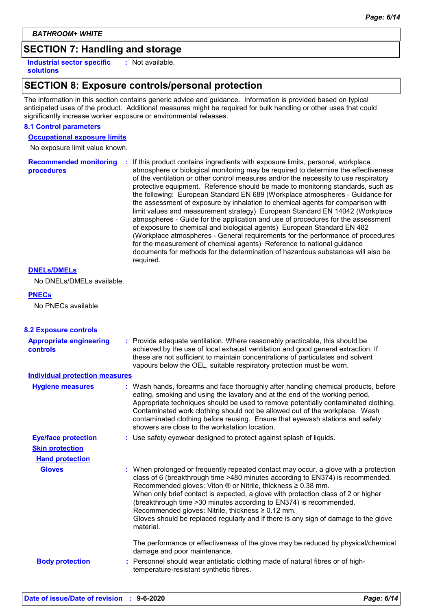### **SECTION 7: Handling and storage**

**Industrial sector specific : solutions**

: Not available.

### **SECTION 8: Exposure controls/personal protection**

The information in this section contains generic advice and guidance. Information is provided based on typical anticipated uses of the product. Additional measures might be required for bulk handling or other uses that could significantly increase worker exposure or environmental releases.

### **8.1 Control parameters**

**Occupational exposure limits**

No exposure limit value known.

**Recommended monitoring procedures :** If this product contains ingredients with exposure limits, personal, workplace atmosphere or biological monitoring may be required to determine the effectiveness of the ventilation or other control measures and/or the necessity to use respiratory protective equipment. Reference should be made to monitoring standards, such as the following: European Standard EN 689 (Workplace atmospheres - Guidance for the assessment of exposure by inhalation to chemical agents for comparison with limit values and measurement strategy) European Standard EN 14042 (Workplace atmospheres - Guide for the application and use of procedures for the assessment of exposure to chemical and biological agents) European Standard EN 482 (Workplace atmospheres - General requirements for the performance of procedures for the measurement of chemical agents) Reference to national guidance documents for methods for the determination of hazardous substances will also be required.

#### **DNELs/DMELs**

No DNELs/DMELs available.

#### **PNECs**

No PNECs available

| <b>8.2 Exposure controls</b>                      |                                                                                                                                                                                                                                                                                                                                                                                                                                                                                                                                                                               |
|---------------------------------------------------|-------------------------------------------------------------------------------------------------------------------------------------------------------------------------------------------------------------------------------------------------------------------------------------------------------------------------------------------------------------------------------------------------------------------------------------------------------------------------------------------------------------------------------------------------------------------------------|
| <b>Appropriate engineering</b><br><b>controls</b> | : Provide adequate ventilation. Where reasonably practicable, this should be<br>achieved by the use of local exhaust ventilation and good general extraction. If<br>these are not sufficient to maintain concentrations of particulates and solvent<br>vapours below the OEL, suitable respiratory protection must be worn.                                                                                                                                                                                                                                                   |
| <b>Individual protection measures</b>             |                                                                                                                                                                                                                                                                                                                                                                                                                                                                                                                                                                               |
| <b>Hygiene measures</b>                           | : Wash hands, forearms and face thoroughly after handling chemical products, before<br>eating, smoking and using the lavatory and at the end of the working period.<br>Appropriate techniques should be used to remove potentially contaminated clothing.<br>Contaminated work clothing should not be allowed out of the workplace. Wash<br>contaminated clothing before reusing. Ensure that eyewash stations and safety<br>showers are close to the workstation location.                                                                                                   |
| <b>Eye/face protection</b>                        | : Use safety eyewear designed to protect against splash of liquids.                                                                                                                                                                                                                                                                                                                                                                                                                                                                                                           |
| <b>Skin protection</b>                            |                                                                                                                                                                                                                                                                                                                                                                                                                                                                                                                                                                               |
| <b>Hand protection</b>                            |                                                                                                                                                                                                                                                                                                                                                                                                                                                                                                                                                                               |
| <b>Gloves</b>                                     | : When prolonged or frequently repeated contact may occur, a glove with a protection<br>class of 6 (breakthrough time >480 minutes according to EN374) is recommended.<br>Recommended gloves: Viton $\otimes$ or Nitrile, thickness $\geq 0.38$ mm.<br>When only brief contact is expected, a glove with protection class of 2 or higher<br>(breakthrough time > 30 minutes according to EN374) is recommended.<br>Recommended gloves: Nitrile, thickness $\geq 0.12$ mm.<br>Gloves should be replaced regularly and if there is any sign of damage to the glove<br>material. |
| <b>Body protection</b>                            | The performance or effectiveness of the glove may be reduced by physical/chemical<br>damage and poor maintenance.<br>: Personnel should wear antistatic clothing made of natural fibres or of high-<br>temperature-resistant synthetic fibres.                                                                                                                                                                                                                                                                                                                                |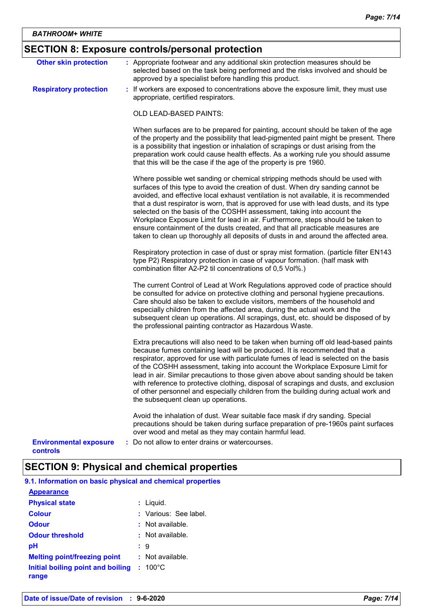## **SECTION 8: Exposure controls/personal protection**

| <b>Other skin protection</b>                     | : Appropriate footwear and any additional skin protection measures should be<br>selected based on the task being performed and the risks involved and should be<br>approved by a specialist before handling this product.                                                                                                                                                                                                                                                                                                                                                                                                                                                               |
|--------------------------------------------------|-----------------------------------------------------------------------------------------------------------------------------------------------------------------------------------------------------------------------------------------------------------------------------------------------------------------------------------------------------------------------------------------------------------------------------------------------------------------------------------------------------------------------------------------------------------------------------------------------------------------------------------------------------------------------------------------|
| <b>Respiratory protection</b>                    | : If workers are exposed to concentrations above the exposure limit, they must use<br>appropriate, certified respirators.                                                                                                                                                                                                                                                                                                                                                                                                                                                                                                                                                               |
|                                                  | OLD LEAD-BASED PAINTS:                                                                                                                                                                                                                                                                                                                                                                                                                                                                                                                                                                                                                                                                  |
|                                                  | When surfaces are to be prepared for painting, account should be taken of the age<br>of the property and the possibility that lead-pigmented paint might be present. There<br>is a possibility that ingestion or inhalation of scrapings or dust arising from the<br>preparation work could cause health effects. As a working rule you should assume<br>that this will be the case if the age of the property is pre 1960.                                                                                                                                                                                                                                                             |
|                                                  | Where possible wet sanding or chemical stripping methods should be used with<br>surfaces of this type to avoid the creation of dust. When dry sanding cannot be<br>avoided, and effective local exhaust ventilation is not available, it is recommended<br>that a dust respirator is worn, that is approved for use with lead dusts, and its type<br>selected on the basis of the COSHH assessment, taking into account the<br>Workplace Exposure Limit for lead in air. Furthermore, steps should be taken to<br>ensure containment of the dusts created, and that all practicable measures are<br>taken to clean up thoroughly all deposits of dusts in and around the affected area. |
|                                                  | Respiratory protection in case of dust or spray mist formation. (particle filter EN143<br>type P2) Respiratory protection in case of vapour formation. (half mask with<br>combination filter A2-P2 til concentrations of 0,5 Vol%.)                                                                                                                                                                                                                                                                                                                                                                                                                                                     |
|                                                  | The current Control of Lead at Work Regulations approved code of practice should<br>be consulted for advice on protective clothing and personal hygiene precautions.<br>Care should also be taken to exclude visitors, members of the household and<br>especially children from the affected area, during the actual work and the<br>subsequent clean up operations. All scrapings, dust, etc. should be disposed of by<br>the professional painting contractor as Hazardous Waste.                                                                                                                                                                                                     |
|                                                  | Extra precautions will also need to be taken when burning off old lead-based paints<br>because fumes containing lead will be produced. It is recommended that a<br>respirator, approved for use with particulate fumes of lead is selected on the basis<br>of the COSHH assessment, taking into account the Workplace Exposure Limit for<br>lead in air. Similar precautions to those given above about sanding should be taken<br>with reference to protective clothing, disposal of scrapings and dusts, and exclusion<br>of other personnel and especially children from the building during actual work and<br>the subsequent clean up operations.                                  |
|                                                  | Avoid the inhalation of dust. Wear suitable face mask if dry sanding. Special<br>precautions should be taken during surface preparation of pre-1960s paint surfaces<br>over wood and metal as they may contain harmful lead.                                                                                                                                                                                                                                                                                                                                                                                                                                                            |
| <b>Environmental exposure</b><br><b>controls</b> | Do not allow to enter drains or watercourses.                                                                                                                                                                                                                                                                                                                                                                                                                                                                                                                                                                                                                                           |

## **SECTION 9: Physical and chemical properties**

| 9.1. Information on basic physical and chemical properties |                       |
|------------------------------------------------------------|-----------------------|
| <b>Appearance</b>                                          |                       |
| <b>Physical state</b>                                      | : Liquid.             |
| <b>Colour</b>                                              | : Various: See label. |
| <b>Odour</b>                                               | $:$ Not available.    |
| <b>Odour threshold</b>                                     | : Not available.      |
| рH                                                         | : 9                   |
| <b>Melting point/freezing point</b>                        | : Not available.      |
| Initial boiling point and boiling<br>range                 | $: 100^{\circ}$ C     |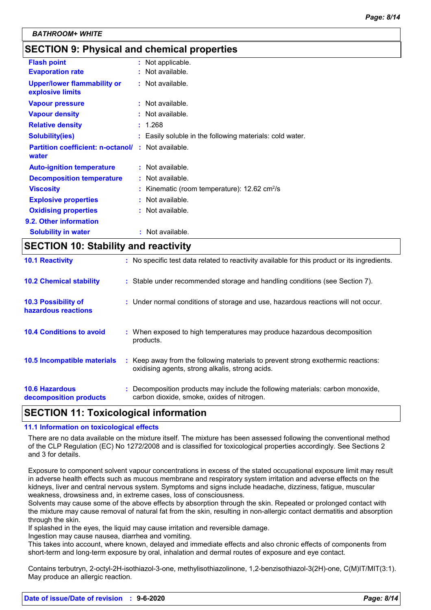### **SECTION 9: Physical and chemical properties**

| <b>Flash point</b>                                     | : Not applicable.                                           |
|--------------------------------------------------------|-------------------------------------------------------------|
| <b>Evaporation rate</b>                                | Not available.                                              |
| <b>Upper/lower flammability or</b><br>explosive limits | $:$ Not available.                                          |
| <b>Vapour pressure</b>                                 | $:$ Not available.                                          |
| <b>Vapour density</b>                                  | $:$ Not available.                                          |
| <b>Relative density</b>                                | : 1.268                                                     |
| <b>Solubility(ies)</b>                                 | : Easily soluble in the following materials: cold water.    |
| <b>Partition coefficient: n-octanol/</b><br>water      | $:$ Not available.                                          |
| <b>Auto-ignition temperature</b>                       | : Not available.                                            |
| <b>Decomposition temperature</b>                       | : Not available.                                            |
| <b>Viscosity</b>                                       | Kinematic (room temperature): $12.62 \text{ cm}^2/\text{s}$ |
| <b>Explosive properties</b>                            | : Not available.                                            |
| <b>Oxidising properties</b>                            | $:$ Not available.                                          |
| 9.2. Other information                                 |                                                             |
| <b>Solubility in water</b>                             | : Not available.                                            |
|                                                        |                                                             |

### **SECTION 10: Stability and reactivity**

| <b>10.1 Reactivity</b>                            | : No specific test data related to reactivity available for this product or its ingredients.                                        |
|---------------------------------------------------|-------------------------------------------------------------------------------------------------------------------------------------|
| <b>10.2 Chemical stability</b>                    | : Stable under recommended storage and handling conditions (see Section 7).                                                         |
| <b>10.3 Possibility of</b><br>hazardous reactions | : Under normal conditions of storage and use, hazardous reactions will not occur.                                                   |
| <b>10.4 Conditions to avoid</b>                   | : When exposed to high temperatures may produce hazardous decomposition<br>products.                                                |
| 10.5 Incompatible materials                       | : Keep away from the following materials to prevent strong exothermic reactions:<br>oxidising agents, strong alkalis, strong acids. |
| <b>10.6 Hazardous</b><br>decomposition products   | : Decomposition products may include the following materials: carbon monoxide,<br>carbon dioxide, smoke, oxides of nitrogen.        |

### **SECTION 11: Toxicological information**

#### **11.1 Information on toxicological effects**

There are no data available on the mixture itself. The mixture has been assessed following the conventional method of the CLP Regulation (EC) No 1272/2008 and is classified for toxicological properties accordingly. See Sections 2 and 3 for details.

Exposure to component solvent vapour concentrations in excess of the stated occupational exposure limit may result in adverse health effects such as mucous membrane and respiratory system irritation and adverse effects on the kidneys, liver and central nervous system. Symptoms and signs include headache, dizziness, fatigue, muscular weakness, drowsiness and, in extreme cases, loss of consciousness.

Solvents may cause some of the above effects by absorption through the skin. Repeated or prolonged contact with the mixture may cause removal of natural fat from the skin, resulting in non-allergic contact dermatitis and absorption through the skin.

If splashed in the eyes, the liquid may cause irritation and reversible damage.

Ingestion may cause nausea, diarrhea and vomiting.

This takes into account, where known, delayed and immediate effects and also chronic effects of components from short-term and long-term exposure by oral, inhalation and dermal routes of exposure and eye contact.

Contains terbutryn, 2-octyl-2H-isothiazol-3-one, methylisothiazolinone, 1,2-benzisothiazol-3(2H)-one, C(M)IT/MIT(3:1). May produce an allergic reaction.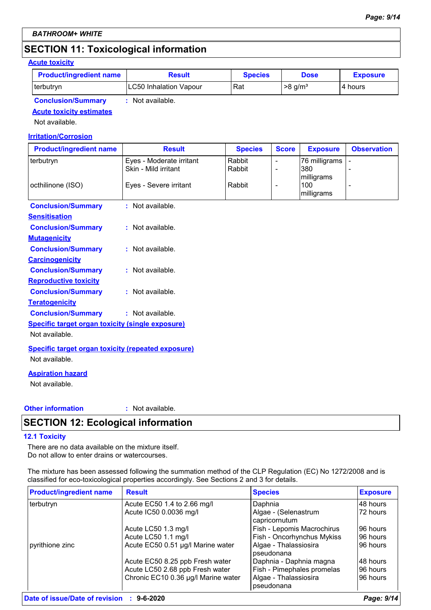### **SECTION 11: Toxicological information**

#### **Acute toxicity**

| <b>Product/ingredient name</b> | <b>Result</b>                 | <b>Species</b> | <b>Dose</b>           | <b>Exposure</b> |
|--------------------------------|-------------------------------|----------------|-----------------------|-----------------|
| terbutryn                      | <b>LC50 Inhalation Vapour</b> | Rat            | $>8$ a/m <sup>3</sup> | l 4 hours       |
| <b>Conclusion/Summary</b>      | Not available.                |                |                       |                 |

**Acute toxicity estimates**

Not available.

#### **Irritation/Corrosion**

| <b>Product/ingredient name</b>                            | <b>Result</b>            | <b>Species</b> | <b>Score</b>             | <b>Exposure</b>                 | <b>Observation</b> |
|-----------------------------------------------------------|--------------------------|----------------|--------------------------|---------------------------------|--------------------|
| terbutryn                                                 | Eyes - Moderate irritant | Rabbit         | $\overline{\phantom{a}}$ | 76 milligrams                   |                    |
|                                                           | Skin - Mild irritant     | Rabbit         | $\overline{\phantom{a}}$ | 380                             |                    |
| octhilinone (ISO)                                         | Eyes - Severe irritant   | Rabbit         | $\overline{\phantom{a}}$ | milligrams<br>100<br>milligrams |                    |
| <b>Conclusion/Summary</b>                                 | : Not available.         |                |                          |                                 |                    |
| <b>Sensitisation</b>                                      |                          |                |                          |                                 |                    |
| <b>Conclusion/Summary</b>                                 | : Not available.         |                |                          |                                 |                    |
| <b>Mutagenicity</b>                                       |                          |                |                          |                                 |                    |
| <b>Conclusion/Summary</b>                                 | : Not available.         |                |                          |                                 |                    |
| <b>Carcinogenicity</b>                                    |                          |                |                          |                                 |                    |
| <b>Conclusion/Summary</b>                                 | : Not available.         |                |                          |                                 |                    |
| <b>Reproductive toxicity</b>                              |                          |                |                          |                                 |                    |
| <b>Conclusion/Summary</b>                                 | : Not available.         |                |                          |                                 |                    |
| <b>Teratogenicity</b>                                     |                          |                |                          |                                 |                    |
| <b>Conclusion/Summary</b>                                 | : Not available.         |                |                          |                                 |                    |
| Specific target organ toxicity (single exposure)          |                          |                |                          |                                 |                    |
| Not available.                                            |                          |                |                          |                                 |                    |
| <b>Specific target organ toxicity (repeated exposure)</b> |                          |                |                          |                                 |                    |
| Not available.                                            |                          |                |                          |                                 |                    |
| <b>Aspiration hazard</b>                                  |                          |                |                          |                                 |                    |
| Not available.                                            |                          |                |                          |                                 |                    |
|                                                           |                          |                |                          |                                 |                    |

#### **Other information :**

: Not available.

### **SECTION 12: Ecological information**

#### **12.1 Toxicity**

There are no data available on the mixture itself. Do not allow to enter drains or watercourses.

The mixture has been assessed following the summation method of the CLP Regulation (EC) No 1272/2008 and is classified for eco-toxicological properties accordingly. See Sections 2 and 3 for details.

| <b>Product/ingredient name</b> | <b>Result</b>                       | <b>Species</b>                        | <b>Exposure</b> |
|--------------------------------|-------------------------------------|---------------------------------------|-----------------|
| terbutryn                      | Acute EC50 1.4 to 2.66 mg/l         | Daphnia                               | 48 hours        |
|                                | Acute IC50 0.0036 mg/l              | Algae - (Selenastrum<br>capricornutum | 72 hours        |
|                                | Acute LC50 1.3 mg/l                 | Fish - Lepomis Macrochirus            | 96 hours        |
|                                | Acute LC50 1.1 mg/l                 | Fish - Oncorhynchus Mykiss            | 96 hours        |
| pyrithione zinc                | Acute EC50 0.51 µg/l Marine water   | Algae - Thalassiosira<br>pseudonana   | 96 hours        |
|                                | Acute EC50 8.25 ppb Fresh water     | Daphnia - Daphnia magna               | 48 hours        |
|                                | Acute LC50 2.68 ppb Fresh water     | Fish - Pimephales promelas            | 96 hours        |
|                                | Chronic EC10 0.36 µg/l Marine water | Algae - Thalassiosira<br>pseudonana   | 96 hours        |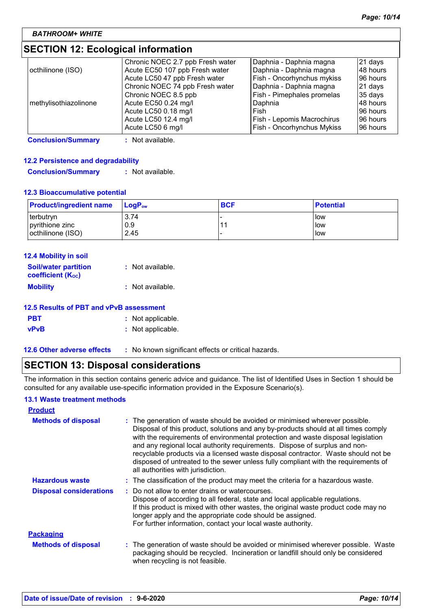### **SECTION 12: Ecological information**

|                       | Chronic NOEC 2.7 ppb Fresh water | Daphnia - Daphnia magna    | 21 days   |
|-----------------------|----------------------------------|----------------------------|-----------|
| octhilinone (ISO)     | Acute EC50 107 ppb Fresh water   | Daphnia - Daphnia magna    | 48 hours  |
|                       | Acute LC50 47 ppb Fresh water    | Fish - Oncorhynchus mykiss | 196 hours |
|                       | Chronic NOEC 74 ppb Fresh water  | Daphnia - Daphnia magna    | $21$ days |
|                       | Chronic NOEC 8.5 ppb             | Fish - Pimephales promelas | 35 days   |
| methylisothiazolinone | Acute EC50 0.24 mg/l             | Daphnia                    | 148 hours |
|                       | Acute LC50 0.18 mg/l             | Fish                       | 196 hours |
|                       | Acute LC50 12.4 mg/l             | Fish - Lepomis Macrochirus | 196 hours |
|                       | Acute LC50 6 mg/l                | Fish - Oncorhynchus Mykiss | 196 hours |

**Conclusion/Summary :** Not available.

#### **12.2 Persistence and degradability**

```
Conclusion/Summary : Not available.
```
#### **12.3 Bioaccumulative potential**

| <b>Product/ingredient name</b> | <b>LogP</b> <sub>ow</sub> | <b>BCF</b> | <b>Potential</b> |
|--------------------------------|---------------------------|------------|------------------|
| I terbutryn                    | 3.74                      | $-11$      | <b>I</b> low     |
| pyrithione zinc                | 0.9                       |            | <b>low</b>       |
| octhilinone (ISO)              | 2.45                      |            | llow             |

| <b>12.4 Mobility in soil</b>                                         |                  |
|----------------------------------------------------------------------|------------------|
| <b>Soil/water partition</b><br><b>coefficient</b> (K <sub>oc</sub> ) | : Not available. |
| <b>Mobility</b>                                                      | : Not available. |

### **12.5 Results of PBT and vPvB assessment**

| <b>PBT</b>  | : Not applicable. |
|-------------|-------------------|
| <b>vPvB</b> | : Not applicable. |

- 
- 
- **12.6 Other adverse effects** : No known significant effects or critical hazards.

### **SECTION 13: Disposal considerations**

The information in this section contains generic advice and guidance. The list of Identified Uses in Section 1 should be consulted for any available use-specific information provided in the Exposure Scenario(s).

#### **13.1 Waste treatment methods**

| <b>Product</b>                 |                                                                                                                                                                                                                                                                                                                                                                                                                                                                                                                                                      |
|--------------------------------|------------------------------------------------------------------------------------------------------------------------------------------------------------------------------------------------------------------------------------------------------------------------------------------------------------------------------------------------------------------------------------------------------------------------------------------------------------------------------------------------------------------------------------------------------|
| <b>Methods of disposal</b>     | : The generation of waste should be avoided or minimised wherever possible.<br>Disposal of this product, solutions and any by-products should at all times comply<br>with the requirements of environmental protection and waste disposal legislation<br>and any regional local authority requirements. Dispose of surplus and non-<br>recyclable products via a licensed waste disposal contractor. Waste should not be<br>disposed of untreated to the sewer unless fully compliant with the requirements of<br>all authorities with jurisdiction. |
| <b>Hazardous waste</b>         | : The classification of the product may meet the criteria for a hazardous waste.                                                                                                                                                                                                                                                                                                                                                                                                                                                                     |
| <b>Disposal considerations</b> | : Do not allow to enter drains or watercourses.<br>Dispose of according to all federal, state and local applicable regulations.<br>If this product is mixed with other wastes, the original waste product code may no<br>longer apply and the appropriate code should be assigned.<br>For further information, contact your local waste authority.                                                                                                                                                                                                   |
| <b>Packaging</b>               |                                                                                                                                                                                                                                                                                                                                                                                                                                                                                                                                                      |
| <b>Methods of disposal</b>     | : The generation of waste should be avoided or minimised wherever possible. Waste<br>packaging should be recycled. Incineration or landfill should only be considered<br>when recycling is not feasible.                                                                                                                                                                                                                                                                                                                                             |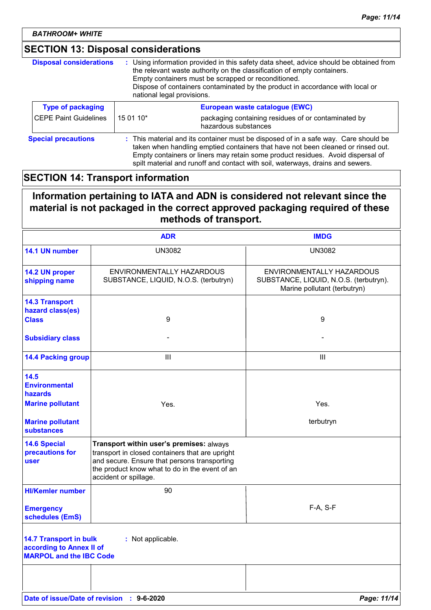*BATHROOM+ WHITE*

### **SECTION 13: Disposal considerations**

| <b>Disposal considerations</b> | : Using information provided in this safety data sheet, advice should be obtained from<br>the relevant waste authority on the classification of empty containers.<br>Empty containers must be scrapped or reconditioned.<br>Dispose of containers contaminated by the product in accordance with local or<br>national legal provisions.      |                                                                             |
|--------------------------------|----------------------------------------------------------------------------------------------------------------------------------------------------------------------------------------------------------------------------------------------------------------------------------------------------------------------------------------------|-----------------------------------------------------------------------------|
| <b>Type of packaging</b>       |                                                                                                                                                                                                                                                                                                                                              | European waste catalogue (EWC)                                              |
| <b>CEPE Paint Guidelines</b>   | 15 01 10*                                                                                                                                                                                                                                                                                                                                    | packaging containing residues of or contaminated by<br>hazardous substances |
| <b>Special precautions</b>     | : This material and its container must be disposed of in a safe way. Care should be<br>taken when handling emptied containers that have not been cleaned or rinsed out.<br>Empty containers or liners may retain some product residues. Avoid dispersal of<br>spilt material and runoff and contact with soil, waterways, drains and sewers. |                                                                             |

### **SECTION 14: Transport information**

### **Information pertaining to IATA and ADN is considered not relevant since the material is not packaged in the correct approved packaging required of these methods of transport.**

|                                                                                             | <b>ADR</b>                                                                                                                                                                                                             | <b>IMDG</b>                                                                                         |
|---------------------------------------------------------------------------------------------|------------------------------------------------------------------------------------------------------------------------------------------------------------------------------------------------------------------------|-----------------------------------------------------------------------------------------------------|
| 14.1 UN number                                                                              | <b>UN3082</b>                                                                                                                                                                                                          | UN3082                                                                                              |
| 14.2 UN proper<br>shipping name                                                             | ENVIRONMENTALLY HAZARDOUS<br>SUBSTANCE, LIQUID, N.O.S. (terbutryn)                                                                                                                                                     | ENVIRONMENTALLY HAZARDOUS<br>SUBSTANCE, LIQUID, N.O.S. (terbutryn).<br>Marine pollutant (terbutryn) |
| <b>14.3 Transport</b><br>hazard class(es)                                                   |                                                                                                                                                                                                                        |                                                                                                     |
| <b>Class</b>                                                                                | 9                                                                                                                                                                                                                      | 9                                                                                                   |
| <b>Subsidiary class</b>                                                                     |                                                                                                                                                                                                                        |                                                                                                     |
| <b>14.4 Packing group</b>                                                                   | Ш                                                                                                                                                                                                                      | Ш                                                                                                   |
| 14.5<br><b>Environmental</b><br><b>hazards</b>                                              |                                                                                                                                                                                                                        |                                                                                                     |
| <b>Marine pollutant</b>                                                                     | Yes.                                                                                                                                                                                                                   | Yes.                                                                                                |
| <b>Marine pollutant</b><br>substances                                                       |                                                                                                                                                                                                                        | terbutryn                                                                                           |
| <b>14.6 Special</b><br>precautions for<br><b>user</b>                                       | Transport within user's premises: always<br>transport in closed containers that are upright<br>and secure. Ensure that persons transporting<br>the product know what to do in the event of an<br>accident or spillage. |                                                                                                     |
| <b>HI/Kemler number</b>                                                                     | 90                                                                                                                                                                                                                     |                                                                                                     |
| <b>Emergency</b><br>schedules (EmS)                                                         |                                                                                                                                                                                                                        | F-A, S-F                                                                                            |
| <b>14.7 Transport in bulk</b><br>according to Annex II of<br><b>MARPOL and the IBC Code</b> | : Not applicable.                                                                                                                                                                                                      |                                                                                                     |
|                                                                                             |                                                                                                                                                                                                                        |                                                                                                     |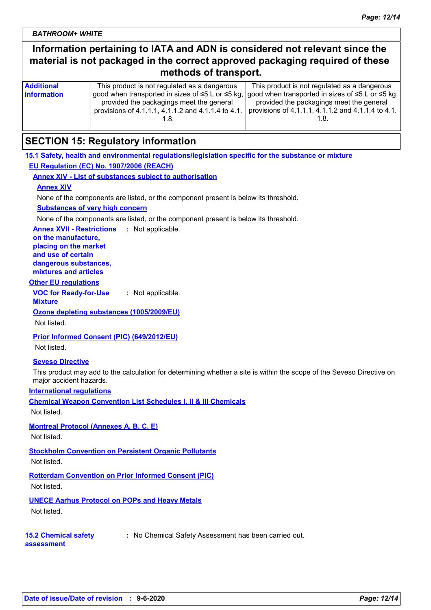### **Information pertaining to IATA and ADN is considered not relevant since the material is not packaged in the correct approved packaging required of these methods of transport.**

| <b>Additional</b>  | This product is not regulated as a dangerous                                                       | This product is not regulated as a dangerous       |
|--------------------|----------------------------------------------------------------------------------------------------|----------------------------------------------------|
| <b>information</b> | good when transported in sizes of ≤5 L or ≤5 kg,  good when transported in sizes of ≤5 L or ≤5 kg, |                                                    |
|                    | provided the packagings meet the general                                                           | provided the packagings meet the general           |
|                    | provisions of 4.1.1.1, 4.1.1.2 and 4.1.1.4 to 4.1.                                                 | provisions of 4.1.1.1, 4.1.1.2 and 4.1.1.4 to 4.1. |
|                    |                                                                                                    |                                                    |
|                    |                                                                                                    |                                                    |

### **SECTION 15: Regulatory information**

### **15.1 Safety, health and environmental regulations/legislation specific for the substance or mixture EU Regulation (EC) No. 1907/2006 (REACH)**

**Annex XIV - List of substances subject to authorisation**

### **Annex XIV**

None of the components are listed, or the component present is below its threshold.

#### **Substances of very high concern**

None of the components are listed, or the component present is below its threshold.

**Annex XVII - Restrictions** : Not applicable.

**on the manufacture, placing on the market and use of certain dangerous substances, mixtures and articles**

#### **Other EU regulations**

**VOC for Ready-for-Use Mixture :** Not applicable.

**Ozone depleting substances (1005/2009/EU)**

Not listed.

**Prior Informed Consent (PIC) (649/2012/EU)**

Not listed.

#### **Seveso Directive**

This product may add to the calculation for determining whether a site is within the scope of the Seveso Directive on major accident hazards.

#### **International regulations**

**Chemical Weapon Convention List Schedules I, II & III Chemicals**

Not listed.

**Montreal Protocol (Annexes A, B, C, E)**

Not listed.

**Stockholm Convention on Persistent Organic Pollutants** Not listed.

**Rotterdam Convention on Prior Informed Consent (PIC)** Not listed.

**UNECE Aarhus Protocol on POPs and Heavy Metals** Not listed.

#### **15.2 Chemical safety assessment**

**:** No Chemical Safety Assessment has been carried out.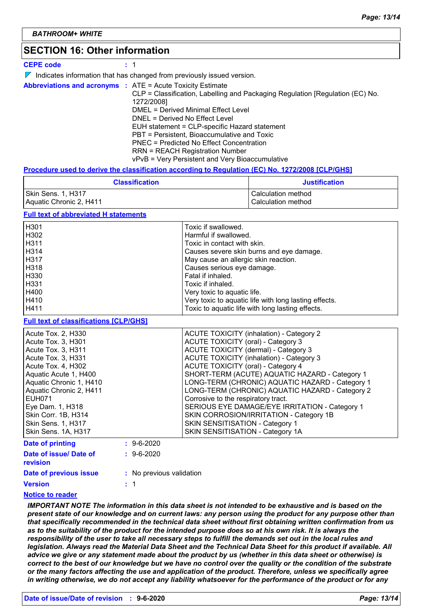### **SECTION 16: Other information**

**CEPE code :** 1

 $\nabla$  Indicates information that has changed from previously issued version.

|  |  | <b>Abbreviations and acronyms : ATE = Acute Toxicity Estimate</b>             |
|--|--|-------------------------------------------------------------------------------|
|  |  | CLP = Classification, Labelling and Packaging Regulation [Regulation (EC) No. |
|  |  | 1272/2008]                                                                    |
|  |  | DMEL = Derived Minimal Effect Level                                           |
|  |  | DNEL = Derived No Effect Level                                                |
|  |  | EUH statement = CLP-specific Hazard statement                                 |
|  |  | PBT = Persistent, Bioaccumulative and Toxic                                   |
|  |  | <b>PNEC = Predicted No Effect Concentration</b>                               |
|  |  | <b>RRN = REACH Registration Number</b>                                        |
|  |  | vPvB = Very Persistent and Very Bioaccumulative                               |

#### **Procedure used to derive the classification according to Regulation (EC) No. 1272/2008 [CLP/GHS]**

| <b>Classification</b>   | <b>Justification</b> |
|-------------------------|----------------------|
| Skin Sens. 1, H317      | Calculation method   |
| Aquatic Chronic 2, H411 | Calculation method   |

#### **Full text of abbreviated H statements**

| H <sub>301</sub>  | Toxic if swallowed.                                   |
|-------------------|-------------------------------------------------------|
| H302              | Harmful if swallowed.                                 |
| H <sub>3</sub> 11 | Toxic in contact with skin.                           |
| H <sub>3</sub> 14 | Causes severe skin burns and eye damage.              |
| H <sub>317</sub>  | May cause an allergic skin reaction.                  |
| H318              | Causes serious eye damage.                            |
| H330              | Fatal if inhaled.                                     |
| H331              | Toxic if inhaled.                                     |
| H400              | Very toxic to aquatic life.                           |
| H410              | Very toxic to aquatic life with long lasting effects. |
| H411              | Toxic to aquatic life with long lasting effects.      |

#### **Full text of classifications [CLP/GHS]**

| Acute Tox. 2. H330        |                  | <b>ACUTE TOXICITY (inhalation) - Category 2</b> |
|---------------------------|------------------|-------------------------------------------------|
| Acute Tox. 3, H301        |                  | <b>ACUTE TOXICITY (oral) - Category 3</b>       |
| Acute Tox. 3, H311        |                  | ACUTE TOXICITY (dermal) - Category 3            |
| Acute Tox. 3, H331        |                  | ACUTE TOXICITY (inhalation) - Category 3        |
| Acute Tox. 4, H302        |                  | <b>ACUTE TOXICITY (oral) - Category 4</b>       |
| Aquatic Acute 1, H400     |                  | SHORT-TERM (ACUTE) AQUATIC HAZARD - Category 1  |
| Aquatic Chronic 1, H410   |                  | LONG-TERM (CHRONIC) AQUATIC HAZARD - Category 1 |
| Aquatic Chronic 2, H411   |                  | LONG-TERM (CHRONIC) AQUATIC HAZARD - Category 2 |
| <b>EUH071</b>             |                  | Corrosive to the respiratory tract.             |
| Eye Dam. 1, H318          |                  | SERIOUS EYE DAMAGE/EYE IRRITATION - Category 1  |
| Skin Corr. 1B, H314       |                  | SKIN CORROSION/IRRITATION - Category 1B         |
| <b>Skin Sens. 1, H317</b> |                  | SKIN SENSITISATION - Category 1                 |
| Skin Sens. 1A, H317       |                  | SKIN SENSITISATION - Category 1A                |
| Date of printing          | $: 9 - 6 - 2020$ |                                                 |
| Date of issue/ Date of    | $: 9 - 6 - 2020$ |                                                 |

| <b>revision</b>        |                          |
|------------------------|--------------------------|
| Date of previous issue | : No previous validation |

1 **:**

### **Version**

#### **Notice to reader**

*IMPORTANT NOTE The information in this data sheet is not intended to be exhaustive and is based on the present state of our knowledge and on current laws: any person using the product for any purpose other than that specifically recommended in the technical data sheet without first obtaining written confirmation from us as to the suitability of the product for the intended purpose does so at his own risk. It is always the responsibility of the user to take all necessary steps to fulfill the demands set out in the local rules and legislation. Always read the Material Data Sheet and the Technical Data Sheet for this product if available. All advice we give or any statement made about the product by us (whether in this data sheet or otherwise) is correct to the best of our knowledge but we have no control over the quality or the condition of the substrate or the many factors affecting the use and application of the product. Therefore, unless we specifically agree in writing otherwise, we do not accept any liability whatsoever for the performance of the product or for any*